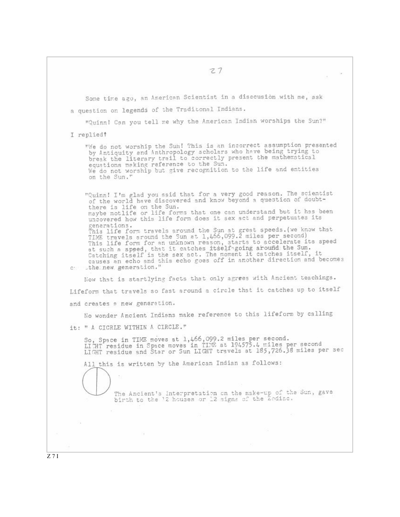w. Some time ago, an American Scientist in a discousion with me, ask a question on legends of the Traditonal Indians. "Quinn! Can you tell me why the American Indian worships the Sun?" I replied? "We do not worship the Sun! This is an incorrect assumption presented<br>by Antiquity and Anthropology scholars who have being trying to break the literary trail to correctly present the mathematical equations making reference to the Sun. We do not worship but give recognition to the life and entities on the Sun." "Quinn! I'm glad you ssid that for a very good reason. The scientist of the world have discovered and know beyond a question of doubtthere is life on the Sun. maybe notlife or life forms that one can understand but it has been uncovered how this life form does it sex act and perpetuates its generations. This life form travels around the Sun at great speeds. (we know that TIME travels around the Sun at 1,466,099.2 miles per second) This life form for an unknown reason, starts to accelerate its speed at such a speed, that it catches itself going around the Sun.<br>Catching itself is the sex act. The moment it catches itself, it<br>causes an echo and this echo goes off in another direction and becomes c: the new generation." Now that is startlying facts that only agrees with Ancient teachings. Lifeform that travels so fast around a circle that it catches up to itself and creates a new generation. No wonder Ancient Indians make reference to this lifeform by calling it: " A CICRLE WITHIN A CIRCLE." So, Space in TIME moves at 1,466,099.2 miles per second.<br>LICHT residue in Space moves in TIME at 194575.4 miles per second<br>LIGHT residue and Star or Sun LIGHT travels at 185,726.38 miles per sec All this is written by the American Indian as follows: The Ancient's interpretation on the make-up of the Sun, gave<br>birth to the '2 houses or 12 signs of the 2odiac.  $0.8$  $Z7I$ 

 $27$ 

Car-